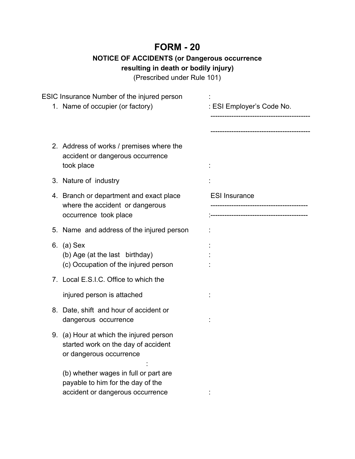## **FORM - 20**

## **NOTICE OF ACCIDENTS (or Dangerous occurrence**

**resulting in death or bodily injury)**

(Prescribed under Rule 101)

| ESIC Insurance Number of the injured person                                                                    |                                      |  |
|----------------------------------------------------------------------------------------------------------------|--------------------------------------|--|
| 1. Name of occupier (or factory)                                                                               | : ESI Employer's Code No.            |  |
|                                                                                                                | --------------------------------     |  |
| 2. Address of works / premises where the<br>accident or dangerous occurrence<br>took place                     |                                      |  |
| 3. Nature of industry                                                                                          |                                      |  |
| 4. Branch or department and exact place<br>where the accident or dangerous                                     | <b>ESI Insurance</b>                 |  |
| occurrence took place                                                                                          | ------------------------------------ |  |
| 5. Name and address of the injured person                                                                      |                                      |  |
| 6. (a) Sex<br>(b) Age (at the last birthday)<br>(c) Occupation of the injured person                           |                                      |  |
| 7. Local E.S.I.C. Office to which the                                                                          |                                      |  |
| injured person is attached                                                                                     |                                      |  |
| 8. Date, shift and hour of accident or<br>dangerous occurrence                                                 |                                      |  |
| 9. (a) Hour at which the injured person<br>started work on the day of accident<br>or dangerous occurrence      |                                      |  |
| (b) whether wages in full or part are<br>payable to him for the day of the<br>accident or dangerous occurrence |                                      |  |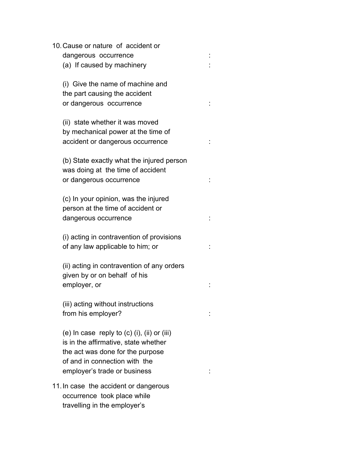| 10. Cause or nature of accident or                   |  |  |
|------------------------------------------------------|--|--|
| dangerous occurrence                                 |  |  |
| (a) If caused by machinery                           |  |  |
| (i) Give the name of machine and                     |  |  |
| the part causing the accident                        |  |  |
| or dangerous occurrence                              |  |  |
| (ii) state whether it was moved                      |  |  |
| by mechanical power at the time of                   |  |  |
| accident or dangerous occurrence                     |  |  |
|                                                      |  |  |
| (b) State exactly what the injured person            |  |  |
| was doing at the time of accident                    |  |  |
| or dangerous occurrence                              |  |  |
| (c) In your opinion, was the injured                 |  |  |
| person at the time of accident or                    |  |  |
| dangerous occurrence                                 |  |  |
|                                                      |  |  |
| (i) acting in contravention of provisions            |  |  |
| of any law applicable to him; or                     |  |  |
| (ii) acting in contravention of any orders           |  |  |
| given by or on behalf of his                         |  |  |
| employer, or                                         |  |  |
|                                                      |  |  |
| (iii) acting without instructions                    |  |  |
| from his employer?                                   |  |  |
| (e) In case reply to $(c)$ $(i)$ , $(ii)$ or $(iii)$ |  |  |
| is in the affirmative, state whether                 |  |  |
| the act was done for the purpose                     |  |  |
| of and in connection with the                        |  |  |
| employer's trade or business                         |  |  |
|                                                      |  |  |
| 11. In case the accident or dangerous                |  |  |
| occurrence took place while                          |  |  |
| travelling in the employer's                         |  |  |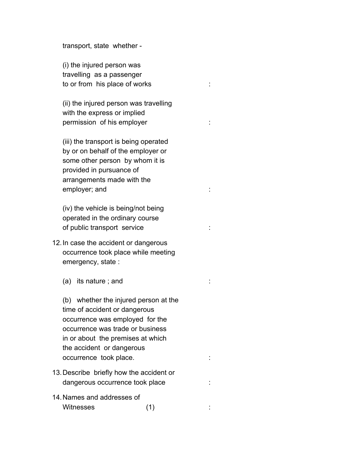transport, state whether -

(i) the injured person was travelling as a passenger to or from his place of works :

(ii) the injured person was travelling with the express or implied permission of his employer is the set of the set of the set of the set of the set of the set of the set of the s

(iii) the transport is being operated by or on behalf of the employer or some other person by whom it is provided in pursuance of arrangements made with the employer; and :

(iv) the vehicle is being/not being operated in the ordinary course of public transport service :

- 12.In case the accident or dangerous occurrence took place while meeting emergency, state :
	- (a) its nature ; and : :

(b) whether the injured person at the time of accident or dangerous occurrence was employed for the occurrence was trade or business in or about the premises at which the accident or dangerous occurrence took place.  $\qquad \qquad \vdots$ 

- 13.Describe briefly how the accident or dangerous occurrence took place : : : :
- 14.Names and addresses of Witnesses (1) :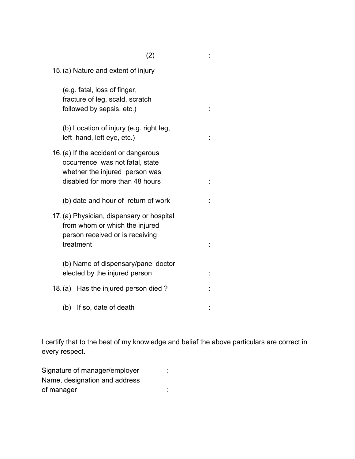| 15. (a) Nature and extent of injury                                                                                                          |  |
|----------------------------------------------------------------------------------------------------------------------------------------------|--|
| (e.g. fatal, loss of finger,<br>fracture of leg, scald, scratch<br>followed by sepsis, etc.)                                                 |  |
| (b) Location of injury (e.g. right leg,<br>left hand, left eye, etc.)                                                                        |  |
| 16. (a) If the accident or dangerous<br>occurrence was not fatal, state<br>whether the injured person was<br>disabled for more than 48 hours |  |
| (b) date and hour of return of work                                                                                                          |  |
| 17. (a) Physician, dispensary or hospital<br>from whom or which the injured<br>person received or is receiving<br>treatment                  |  |
| (b) Name of dispensary/panel doctor<br>elected by the injured person                                                                         |  |
| 18. (a) Has the injured person died?                                                                                                         |  |
| (b) If so, date of death                                                                                                                     |  |

I certify that to the best of my knowledge and belief the above particulars are correct in every respect.

Signature of manager/employer : Name, designation and address of manager :